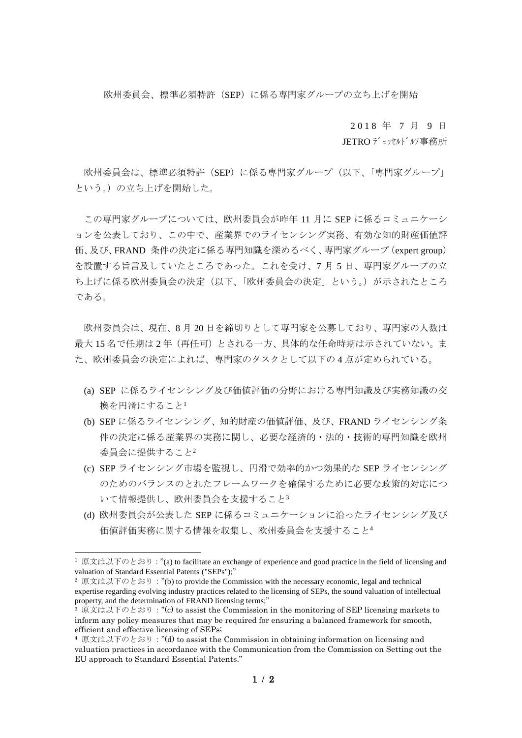欧州委員会、標準必須特許(SEP)に係る専門家グループの立ち上げを開始

2 0 1 8 年 7 月 9 日

JETRO デュッセルドルフ事務所

欧州委員会は、標準必須特許 (SEP) に係る専門家グループ(以下、「専門家グループ」 という。)の立ち上げを開始した。

この専門家グループについては、欧州委員会が昨年 11 月に SEP に係るコミュニケーシ ョンを公表しており、この中で、産業界でのライセンシング実務、有効な知的財産価値評 価、及び、FRAND 条件の決定に係る専門知識を深めるべく、専門家グループ(expert group) を設置する旨言及していたところであった。これを受け、7 月 5 日、専門家グループの立 ち上げに係る欧州委員会の決定(以下、「欧州委員会の決定」という。)が示されたところ である。

欧州委員会は、現在、8 月 20 日を締切りとして専門家を公募しており、専門家の人数は 最大 15 名で任期は 2 年(再任可)とされる一方、具体的な任命時期は示されていない。ま た、欧州委員会の決定によれば、専門家のタスクとして以下の 4 点が定められている。

- (a) SEP に係るライセンシング及び価値評価の分野における専門知識及び実務知識の交 換を円滑にすること<sup>1</sup>
- (b) SEP に係るライセンシング、知的財産の価値評価、及び、FRAND ライセンシング条 件の決定に係る産業界の実務に関し、必要な経済的・法的・技術的専門知識を欧州 委員会に提供すること<sup>2</sup>
- (c) SEP ライセンシング市場を監視し、円滑で効率的かつ効果的な SEP ライセンシング のためのバランスのとれたフレームワークを確保するために必要な政策的対応につ いて情報提供し、欧州委員会を支援すること<sup>3</sup>
- (d) 欧州委員会が公表した SEP に係るコミュニケーションに沿ったライセンシング及び 価値評価実務に関する情報を収集し、欧州委員会を支援すること<sup>4</sup>

-

<sup>&</sup>lt;sup>1</sup> 原文は以下のとおり: "(a) to facilitate an exchange of experience and good practice in the field of licensing and valuation of Standard Essential Patents ("SEPs");"

<sup>&</sup>lt;sup>2</sup> 原文は以下のとおり: "(b) to provide the Commission with the necessary economic, legal and technical expertise regarding evolving industry practices related to the licensing of SEPs, the sound valuation of intellectual property, and the determination of FRAND licensing terms;"

 $3$  原文は以下のとおり: "(c) to assist the Commission in the monitoring of SEP licensing markets to inform any policy measures that may be required for ensuring a balanced framework for smooth, efficient and effective licensing of SEPs;

<sup>4</sup> 原文は以下のとおり:"(d) to assist the Commission in obtaining information on licensing and valuation practices in accordance with the Communication from the Commission on Setting out the EU approach to Standard Essential Patents."